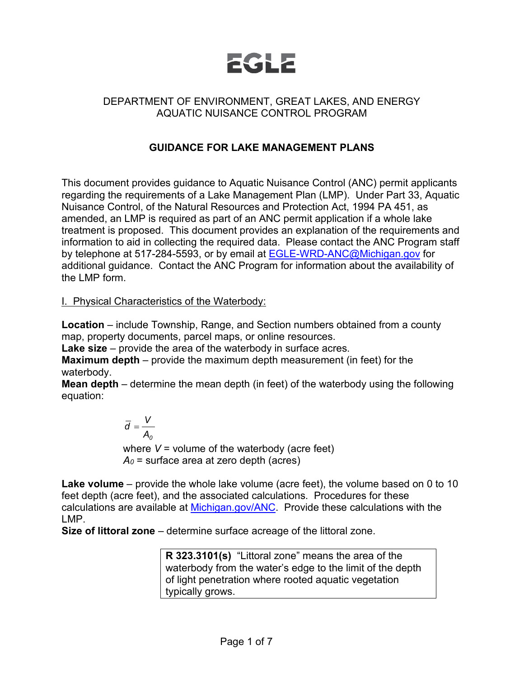

## DEPARTMENT OF ENVIRONMENT, GREAT LAKES, AND ENERGY AQUATIC NUISANCE CONTROL PROGRAM

## **GUIDANCE FOR LAKE MANAGEMENT PLANS**

This document provides guidance to Aquatic Nuisance Control (ANC) permit applicants regarding the requirements of a Lake Management Plan (LMP). Under Part 33, Aquatic Nuisance Control, of the Natural Resources and Protection Act, 1994 PA 451, as amended, an LMP is required as part of an ANC permit application if a whole lake treatment is proposed. This document provides an explanation of the requirements and information to aid in collecting the required data. Please contact the ANC Program staff by telephone at 517-284-5593, or by email at **[EGLE-WRD-ANC@Michigan.gov](mailto:EGLE-WRD-ANC@Michigan.gov)** for additional guidance. Contact the ANC Program for information about the availability of the LMP form.

#### I. Physical Characteristics of the Waterbody:

**Location** – include Township, Range, and Section numbers obtained from a county map, property documents, parcel maps, or online resources.

**Lake size** – provide the area of the waterbody in surface acres.

**Maximum depth** – provide the maximum depth measurement (in feet) for the waterbody.

**Mean depth** – determine the mean depth (in feet) of the waterbody using the following equation:

$$
\overline{d} = \frac{V}{A_0}
$$

where *V* = volume of the waterbody (acre feet) *A0* = surface area at zero depth (acres)

**Lake volume** – provide the whole lake volume (acre feet), the volume based on 0 to 10 feet depth (acre feet), and the associated calculations. Procedures for these calculations are available at [Michigan.gov/ANC.](http://www.michigan.gov/anc) Provide these calculations with the LMP.

**Size of littoral zone** – determine surface acreage of the littoral zone.

**R 323.3101(s)** "Littoral zone" means the area of the waterbody from the water's edge to the limit of the depth of light penetration where rooted aquatic vegetation typically grows.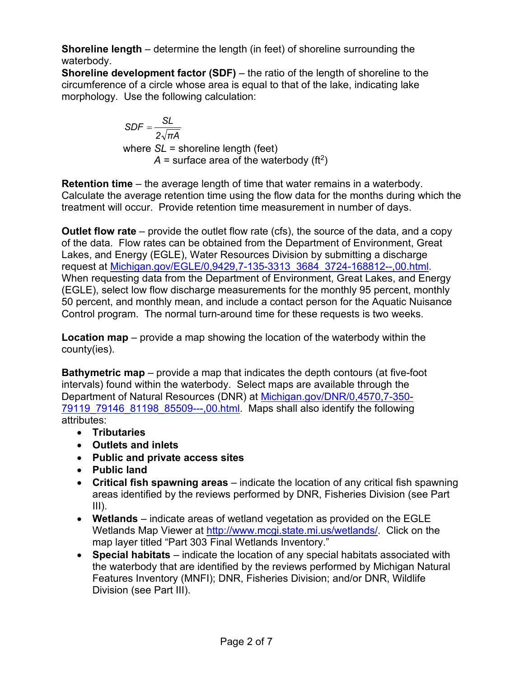**Shoreline length** – determine the length (in feet) of shoreline surrounding the waterbody.

**Shoreline development factor (SDF)** – the ratio of the length of shoreline to the circumference of a circle whose area is equal to that of the lake, indicating lake morphology. Use the following calculation:

> *2 πA*  $SDF = \frac{SL}{\sqrt{2}}$ where *SL* = shoreline length (feet)  $A =$  surface area of the waterbody (ft<sup>2</sup>)

**Retention time** – the average length of time that water remains in a waterbody. Calculate the average retention time using the flow data for the months during which the treatment will occur. Provide retention time measurement in number of days.

**Outlet flow rate** – provide the outlet flow rate (cfs), the source of the data, and a copy of the data. Flow rates can be obtained from the Department of Environment, Great Lakes, and Energy (EGLE), Water Resources Division by submitting a discharge request at [Michigan.gov/EGLE/0,9429,7-135-3313\\_3684\\_3724-168812--,00.html.](https://www.michigan.gov/egle/0,9429,7-135-3313_3684_3724-168812--,00.html) When requesting data from the Department of Environment, Great Lakes, and Energy (EGLE), select low flow discharge measurements for the monthly 95 percent, monthly 50 percent, and monthly mean, and include a contact person for the Aquatic Nuisance Control program. The normal turn-around time for these requests is two weeks.

**Location map** – provide a map showing the location of the waterbody within the county(ies).

**Bathymetric map** – provide a map that indicates the depth contours (at five-foot intervals) found within the waterbody. Select maps are available through the Department of Natural Resources (DNR) at [Michigan.gov/DNR/0,4570,7-350-](https://www.michigan.gov/dnr/0,4570,7-350-79119_79146_81198_85509---,00.html) 79119 79146 81198 85509---,00.html. Maps shall also identify the following attributes:

- **Tributaries**
- **Outlets and inlets**
- **Public and private access sites**
- **Public land**
- **Critical fish spawning areas** indicate the location of any critical fish spawning areas identified by the reviews performed by DNR, Fisheries Division (see Part III).
- **Wetlands** indicate areas of wetland vegetation as provided on the EGLE Wetlands Map Viewer at [http://www.mcgi.state.mi.us/wetlands/.](http://www.mcgi.state.mi.us/wetlands/) Click on the map layer titled "Part 303 Final Wetlands Inventory."
- **Special habitats** indicate the location of any special habitats associated with the waterbody that are identified by the reviews performed by Michigan Natural Features Inventory (MNFI); DNR, Fisheries Division; and/or DNR, Wildlife Division (see Part III).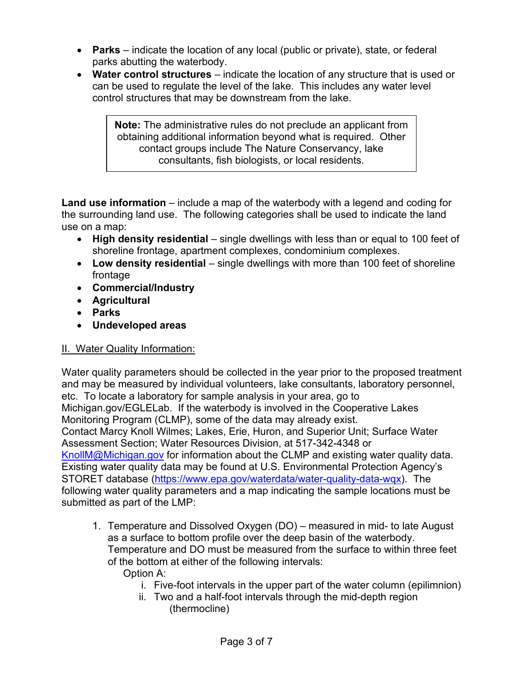- **Parks** indicate the location of any local (public or private), state, or federal parks abutting the waterbody.
- **Water control structures** indicate the location of any structure that is used or can be used to regulate the level of the lake. This includes any water level control structures that may be downstream from the lake.

**Note:** The administrative rules do not preclude an applicant from obtaining additional information beyond what is required. Other contact groups include The Nature Conservancy, lake consultants, fish biologists, or local residents.

**Land use information** – include a map of the waterbody with a legend and coding for the surrounding land use. The following categories shall be used to indicate the land use on a map:

- **High density residential** single dwellings with less than or equal to 100 feet of shoreline frontage, apartment complexes, condominium complexes.
- **Low density residential** single dwellings with more than 100 feet of shoreline frontage
- **Commercial/Industry**
- **Agricultural**
- **Parks**
- **Undeveloped areas**

# II. Water Quality Information:

Water quality parameters should be collected in the year prior to the proposed treatment and may be measured by individual volunteers, lake consultants, laboratory personnel, etc. To locate a laboratory for sample analysis in your area, go to [Michigan.gov/EGLELab.](https://www.michigan.gov/egle/0,9429,7-135-3307_4131---,00.html) If the waterbody is involved in the Cooperative Lakes Monitoring Program (CLMP), some of the data may already exist. Contact Marcy Knoll Wilmes; Lakes, Erie, Huron, and Superior Unit; Surface Water Assessment Section; Water Resources Division, at 517-342-4348 or [KnollM@Michigan.gov](mailto:knollm@michigan.gov) for information about the CLMP and existing water quality data. Existing water quality data may be found at U.S. Environmental Protection Agency's STORET database [\(https://www.epa.gov/waterdata/water-quality-data-wqx\)](https://www.epa.gov/waterdata/water-quality-data-wqx). The following water quality parameters and a map indicating the sample locations must be submitted as part of the LMP:

- 1. Temperature and Dissolved Oxygen (DO) measured in mid- to late August as a surface to bottom profile over the deep basin of the waterbody. Temperature and DO must be measured from the surface to within three feet of the bottom at either of the following intervals: Option A:
	- i. Five-foot intervals in the upper part of the water column (epilimnion)
	- ii. Two and a half-foot intervals through the mid-depth region (thermocline)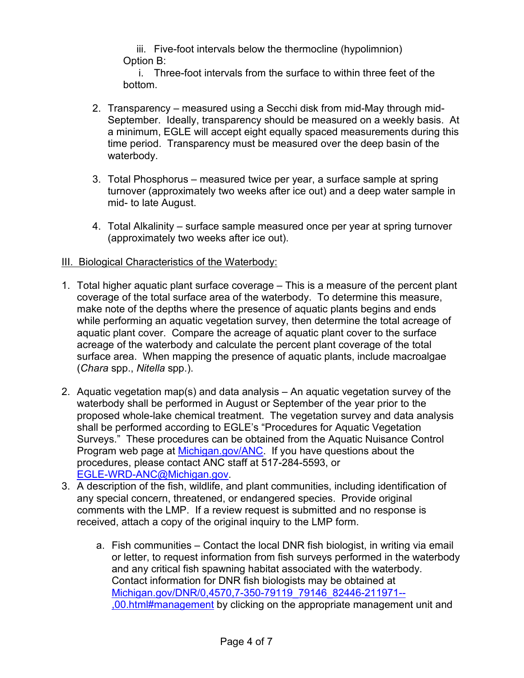iii. Five-foot intervals below the thermocline (hypolimnion) Option B:

i. Three-foot intervals from the surface to within three feet of the bottom.

- 2. Transparency measured using a Secchi disk from mid-May through mid-September. Ideally, transparency should be measured on a weekly basis. At a minimum, EGLE will accept eight equally spaced measurements during this time period. Transparency must be measured over the deep basin of the waterbody.
- 3. Total Phosphorus measured twice per year, a surface sample at spring turnover (approximately two weeks after ice out) and a deep water sample in mid- to late August.
- 4. Total Alkalinity surface sample measured once per year at spring turnover (approximately two weeks after ice out).

## III. Biological Characteristics of the Waterbody:

- 1. Total higher aquatic plant surface coverage This is a measure of the percent plant coverage of the total surface area of the waterbody. To determine this measure, make note of the depths where the presence of aquatic plants begins and ends while performing an aquatic vegetation survey, then determine the total acreage of aquatic plant cover. Compare the acreage of aquatic plant cover to the surface acreage of the waterbody and calculate the percent plant coverage of the total surface area. When mapping the presence of aquatic plants, include macroalgae (*Chara* spp., *Nitella* spp.).
- 2. Aquatic vegetation map(s) and data analysis An aquatic vegetation survey of the waterbody shall be performed in August or September of the year prior to the proposed whole-lake chemical treatment. The vegetation survey and data analysis shall be performed according to EGLE's "Procedures for Aquatic Vegetation Surveys." These procedures can be obtained from the Aquatic Nuisance Control Program web page at [Michigan.gov/ANC.](http://www.michigan.gov/anc) If you have questions about the procedures, please contact ANC staff at 517-284-5593, or [EGLE-WRD-ANC@Michigan.gov.](mailto:EGLEWRDANC@Michigan.gov)
- 3. A description of the fish, wildlife, and plant communities, including identification of any special concern, threatened, or endangered species. Provide original comments with the LMP. If a review request is submitted and no response is received, attach a copy of the original inquiry to the LMP form.
	- a. Fish communities Contact the local DNR fish biologist, in writing via email or letter, to request information from fish surveys performed in the waterbody and any critical fish spawning habitat associated with the waterbody. Contact information for DNR fish biologists may be obtained at [Michigan.gov/DNR/0,4570,7-350-79119\\_79146\\_82446-211971--](https://www.michigan.gov/dnr/0,4570,7-350-79119_79146_82446-211971--,00.html#management) [,00.html#management](https://www.michigan.gov/dnr/0,4570,7-350-79119_79146_82446-211971--,00.html#management) by clicking on the appropriate management unit and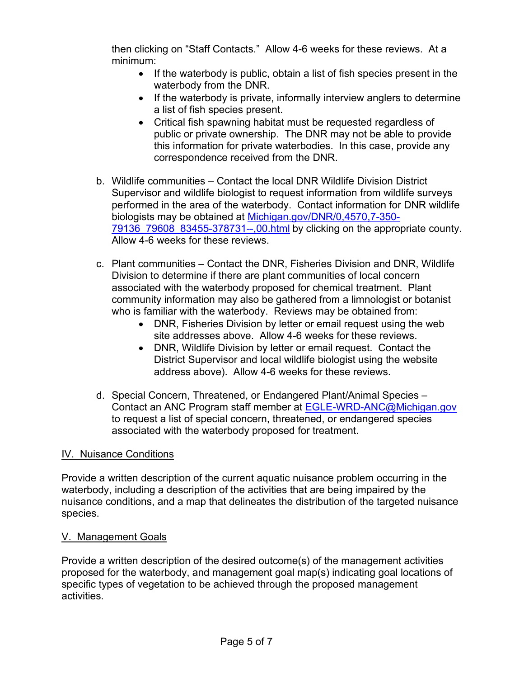then clicking on "Staff Contacts." Allow 4-6 weeks for these reviews. At a minimum:

- If the waterbody is public, obtain a list of fish species present in the waterbody from the DNR.
- If the waterbody is private, informally interview anglers to determine a list of fish species present.
- Critical fish spawning habitat must be requested regardless of public or private ownership. The DNR may not be able to provide this information for private waterbodies. In this case, provide any correspondence received from the DNR.
- b. Wildlife communities Contact the local DNR Wildlife Division District Supervisor and wildlife biologist to request information from wildlife surveys performed in the area of the waterbody. Contact information for DNR wildlife biologists may be obtained at [Michigan.gov/DNR/0,4570,7-350-](https://www.michigan.gov/dnr/0,4570,7-350-79136_79608_83455-378731--,00.html) [79136\\_79608\\_83455-378731--,00.html](https://www.michigan.gov/dnr/0,4570,7-350-79136_79608_83455-378731--,00.html) by clicking on the appropriate county. Allow 4-6 weeks for these reviews.
- c. Plant communities Contact the DNR, Fisheries Division and DNR, Wildlife Division to determine if there are plant communities of local concern associated with the waterbody proposed for chemical treatment. Plant community information may also be gathered from a limnologist or botanist who is familiar with the waterbody. Reviews may be obtained from:
	- DNR, Fisheries Division by letter or email request using the web site addresses above. Allow 4-6 weeks for these reviews.
	- DNR, Wildlife Division by letter or email request. Contact the District Supervisor and local wildlife biologist using the website address above). Allow 4-6 weeks for these reviews.
- d. Special Concern, Threatened, or Endangered Plant/Animal Species Contact an ANC Program staff member at [EGLE-WRD-ANC@Michigan.gov](mailto:EGLE-WRD-ANC@Michigan.gov) to request a list of special concern, threatened, or endangered species associated with the waterbody proposed for treatment.

#### IV. Nuisance Conditions

Provide a written description of the current aquatic nuisance problem occurring in the waterbody, including a description of the activities that are being impaired by the nuisance conditions, and a map that delineates the distribution of the targeted nuisance species.

#### V. Management Goals

Provide a written description of the desired outcome(s) of the management activities proposed for the waterbody, and management goal map(s) indicating goal locations of specific types of vegetation to be achieved through the proposed management activities.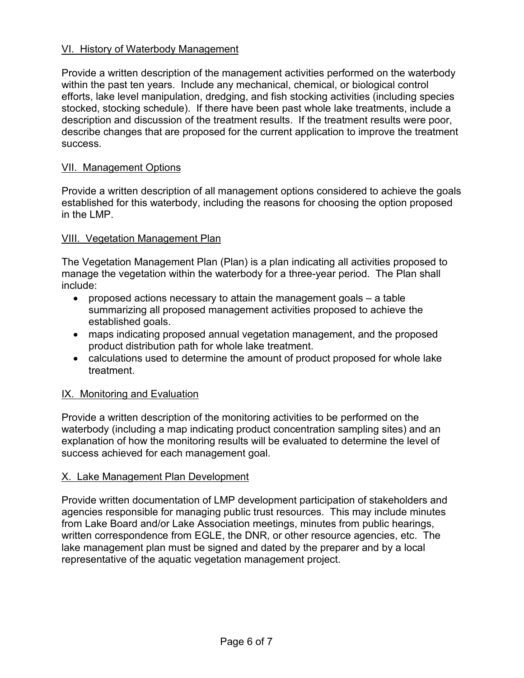## VI. History of Waterbody Management

Provide a written description of the management activities performed on the waterbody within the past ten years. Include any mechanical, chemical, or biological control efforts, lake level manipulation, dredging, and fish stocking activities (including species stocked, stocking schedule). If there have been past whole lake treatments, include a description and discussion of the treatment results. If the treatment results were poor, describe changes that are proposed for the current application to improve the treatment success.

#### VII. Management Options

Provide a written description of all management options considered to achieve the goals established for this waterbody, including the reasons for choosing the option proposed in the LMP.

#### VIII. Vegetation Management Plan

The Vegetation Management Plan (Plan) is a plan indicating all activities proposed to manage the vegetation within the waterbody for a three-year period. The Plan shall include:

- proposed actions necessary to attain the management goals a table summarizing all proposed management activities proposed to achieve the established goals.
- maps indicating proposed annual vegetation management, and the proposed product distribution path for whole lake treatment.
- calculations used to determine the amount of product proposed for whole lake treatment.

#### IX. Monitoring and Evaluation

Provide a written description of the monitoring activities to be performed on the waterbody (including a map indicating product concentration sampling sites) and an explanation of how the monitoring results will be evaluated to determine the level of success achieved for each management goal.

#### X. Lake Management Plan Development

Provide written documentation of LMP development participation of stakeholders and agencies responsible for managing public trust resources. This may include minutes from Lake Board and/or Lake Association meetings, minutes from public hearings, written correspondence from EGLE, the DNR, or other resource agencies, etc. The lake management plan must be signed and dated by the preparer and by a local representative of the aquatic vegetation management project.